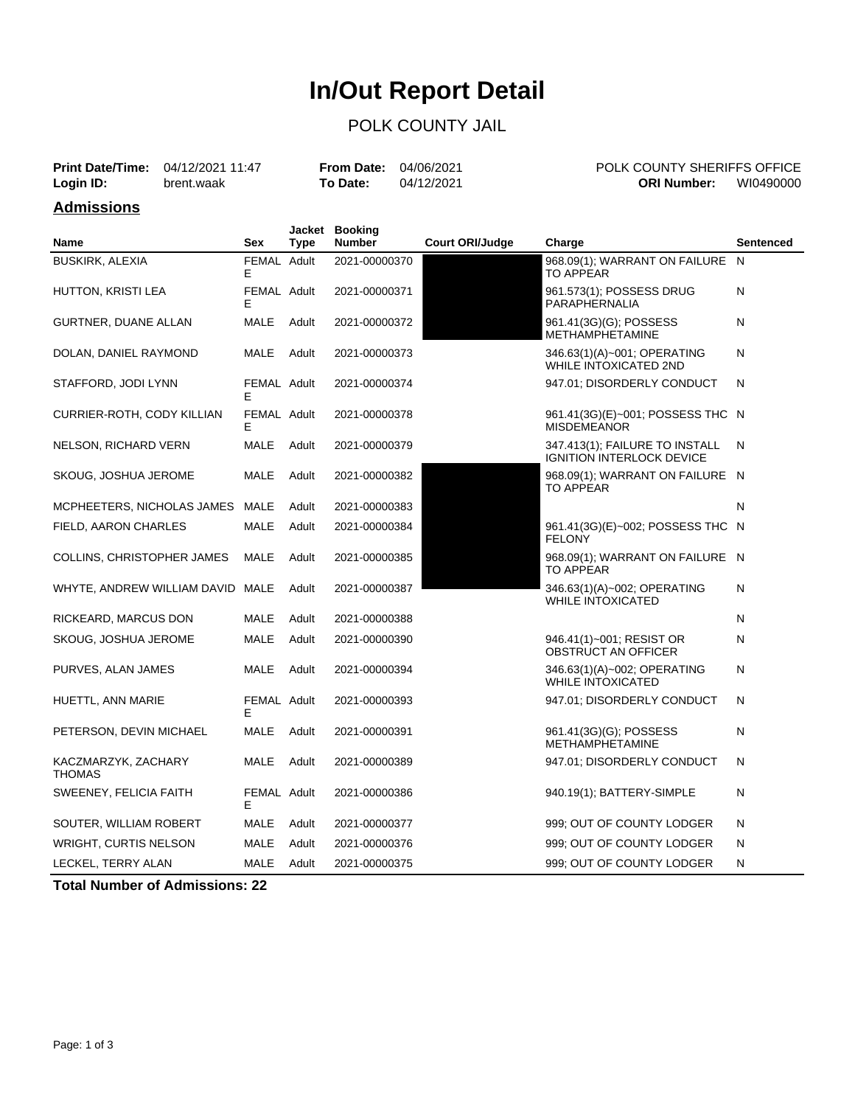# **In/Out Report Detail**

### POLK COUNTY JAIL

|                   | <b>Print Date/Time:</b> 04/12/2021 11:47 | <b>From Date: 04/06/2021</b> |            | POLK COUNTY SHERIFFS OFFICE     |  |
|-------------------|------------------------------------------|------------------------------|------------|---------------------------------|--|
| Login ID:         | brent.waak                               | To Date:                     | 04/12/2021 | WI0490000<br><b>ORI Number:</b> |  |
| <b>Admissions</b> |                                          |                              |            |                                 |  |

| <b>Name</b>                          | <b>Sex</b>       | <b>Type</b> | Jacket Booking<br><b>Number</b> | <b>Court ORI/Judge</b> | Charge                                                             | Sentenced    |
|--------------------------------------|------------------|-------------|---------------------------------|------------------------|--------------------------------------------------------------------|--------------|
| <b>BUSKIRK, ALEXIA</b>               | FEMAL Adult<br>Е |             | 2021-00000370                   |                        | 968.09(1); WARRANT ON FAILURE<br><b>TO APPEAR</b>                  | $\mathsf{N}$ |
| HUTTON, KRISTI LEA                   | FEMAL Adult<br>Е |             | 2021-00000371                   |                        | 961.573(1); POSSESS DRUG<br>PARAPHERNALIA                          | N            |
| GURTNER, DUANE ALLAN                 | MALE             | Adult       | 2021-00000372                   |                        | 961.41(3G)(G); POSSESS<br><b>METHAMPHETAMINE</b>                   | Ν            |
| DOLAN, DANIEL RAYMOND                | <b>MALE</b>      | Adult       | 2021-00000373                   |                        | 346.63(1)(A)~001; OPERATING<br><b>WHILE INTOXICATED 2ND</b>        | N            |
| STAFFORD, JODI LYNN                  | FEMAL Adult<br>Е |             | 2021-00000374                   |                        | 947.01; DISORDERLY CONDUCT                                         | N            |
| CURRIER-ROTH, CODY KILLIAN           | FEMAL Adult<br>Е |             | 2021-00000378                   |                        | 961.41(3G)(E)~001; POSSESS THC N<br><b>MISDEMEANOR</b>             |              |
| NELSON, RICHARD VERN                 | MALE             | Adult       | 2021-00000379                   |                        | 347.413(1); FAILURE TO INSTALL<br><b>IGNITION INTERLOCK DEVICE</b> | N            |
| SKOUG, JOSHUA JEROME                 | <b>MALE</b>      | Adult       | 2021-00000382                   |                        | 968.09(1); WARRANT ON FAILURE N<br><b>TO APPEAR</b>                |              |
| MCPHEETERS, NICHOLAS JAMES MALE      |                  | Adult       | 2021-00000383                   |                        |                                                                    | N            |
| FIELD, AARON CHARLES                 | <b>MALE</b>      | Adult       | 2021-00000384                   |                        | 961.41(3G)(E)~002; POSSESS THC N<br><b>FELONY</b>                  |              |
| COLLINS, CHRISTOPHER JAMES           | <b>MALE</b>      | Adult       | 2021-00000385                   |                        | 968.09(1); WARRANT ON FAILURE N<br>TO APPEAR                       |              |
| WHYTE, ANDREW WILLIAM DAVID MALE     |                  | Adult       | 2021-00000387                   |                        | 346.63(1)(A)~002; OPERATING<br>WHILE INTOXICATED                   | Ν            |
| RICKEARD, MARCUS DON                 | <b>MALE</b>      | Adult       | 2021-00000388                   |                        |                                                                    | N            |
| SKOUG, JOSHUA JEROME                 | <b>MALE</b>      | Adult       | 2021-00000390                   |                        | 946.41(1)~001; RESIST OR<br>OBSTRUCT AN OFFICER                    | Ν            |
| PURVES, ALAN JAMES                   | MALE             | Adult       | 2021-00000394                   |                        | 346.63(1)(A)~002; OPERATING<br><b>WHILE INTOXICATED</b>            | N            |
| HUETTL, ANN MARIE                    | FEMAL Adult<br>Е |             | 2021-00000393                   |                        | 947.01; DISORDERLY CONDUCT                                         | N            |
| PETERSON, DEVIN MICHAEL              | MALE             | Adult       | 2021-00000391                   |                        | 961.41(3G)(G); POSSESS<br><b>METHAMPHETAMINE</b>                   | N            |
| KACZMARZYK, ZACHARY<br><b>THOMAS</b> | <b>MALE</b>      | Adult       | 2021-00000389                   |                        | 947.01; DISORDERLY CONDUCT                                         | N            |
| SWEENEY, FELICIA FAITH               | FEMAL Adult<br>Е |             | 2021-00000386                   |                        | 940.19(1); BATTERY-SIMPLE                                          | Ν            |
| SOUTER, WILLIAM ROBERT               | MALE             | Adult       | 2021-00000377                   |                        | 999; OUT OF COUNTY LODGER                                          | N            |
| <b>WRIGHT, CURTIS NELSON</b>         | <b>MALE</b>      | Adult       | 2021-00000376                   |                        | 999; OUT OF COUNTY LODGER                                          | N            |
| LECKEL, TERRY ALAN                   | MALE             | Adult       | 2021-00000375                   |                        | 999; OUT OF COUNTY LODGER                                          | Ν            |

**Total Number of Admissions: 22**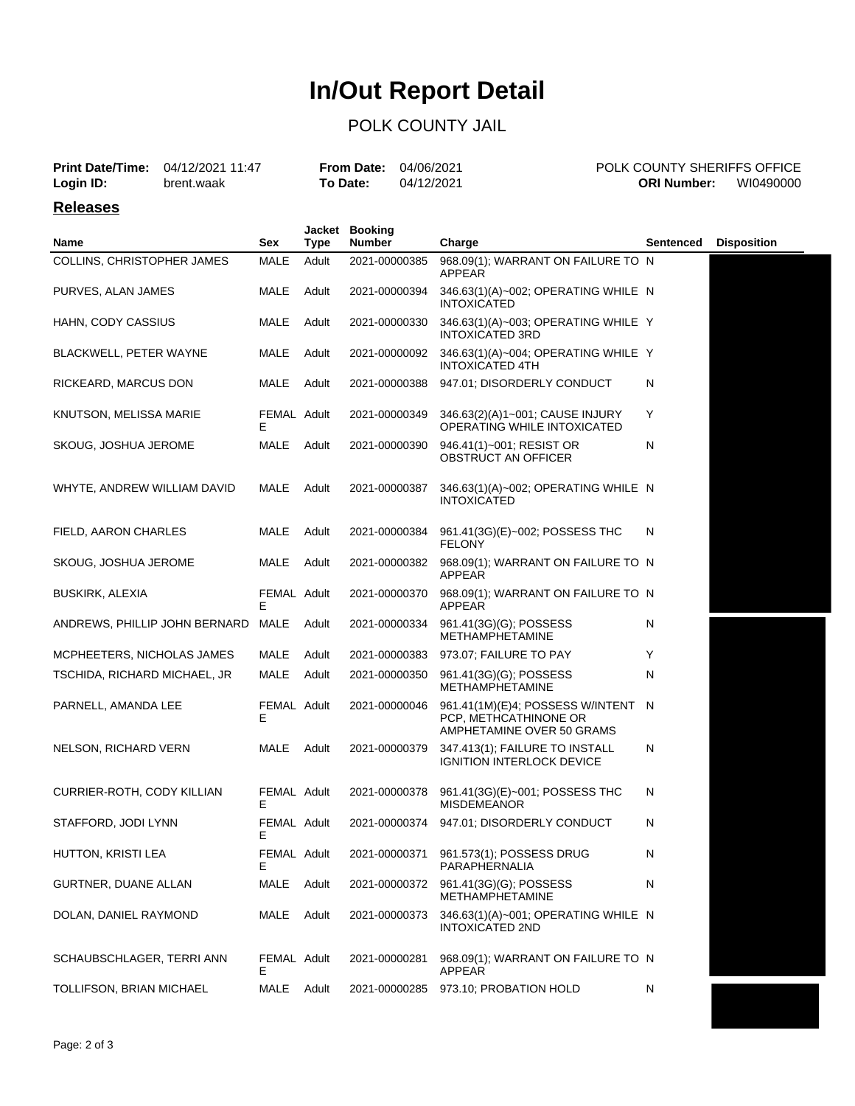# **In/Out Report Detail**

### POLK COUNTY JAIL

| <b>Print Date/Time:</b><br>Login ID: | 04/12/2021 11:47<br>brent.waak |                   | <b>From Date:</b><br>To Date: |                                 | 04/06/2021<br>04/12/2021 |                                                                                        | <b>ORI Number:</b> | POLK COUNTY SHERIFFS OFFICE<br>WI0490000 |
|--------------------------------------|--------------------------------|-------------------|-------------------------------|---------------------------------|--------------------------|----------------------------------------------------------------------------------------|--------------------|------------------------------------------|
| <b>Releases</b>                      |                                |                   |                               |                                 |                          |                                                                                        |                    |                                          |
| Name                                 |                                | Sex               | Jacket<br><b>Type</b>         | <b>Booking</b><br><b>Number</b> |                          | Charge                                                                                 | Sentenced          | <b>Disposition</b>                       |
| COLLINS, CHRISTOPHER JAMES           |                                | <b>MALE</b>       | Adult                         | 2021-00000385                   |                          | 968.09(1); WARRANT ON FAILURE TO N<br>APPEAR                                           |                    |                                          |
| PURVES, ALAN JAMES                   |                                | MALE              | Adult                         | 2021-00000394                   |                          | 346.63(1)(A)~002; OPERATING WHILE N<br><b>INTOXICATED</b>                              |                    |                                          |
| HAHN, CODY CASSIUS                   |                                | MALE              | Adult                         | 2021-00000330                   |                          | 346.63(1)(A)~003; OPERATING WHILE Y<br><b>INTOXICATED 3RD</b>                          |                    |                                          |
| BLACKWELL, PETER WAYNE               |                                | MALE              | Adult                         | 2021-00000092                   |                          | 346.63(1)(A)~004; OPERATING WHILE Y<br><b>INTOXICATED 4TH</b>                          |                    |                                          |
| RICKEARD, MARCUS DON                 |                                | MALE              | Adult                         | 2021-00000388                   |                          | 947.01; DISORDERLY CONDUCT                                                             | N                  |                                          |
| KNUTSON, MELISSA MARIE               |                                | FEMAL Adult<br>Е  |                               | 2021-00000349                   |                          | 346.63(2)(A)1~001; CAUSE INJURY<br>OPERATING WHILE INTOXICATED                         | Y                  |                                          |
| SKOUG, JOSHUA JEROME                 |                                | MALE              | Adult                         | 2021-00000390                   |                          | 946.41(1)~001; RESIST OR<br><b>OBSTRUCT AN OFFICER</b>                                 | N                  |                                          |
| WHYTE, ANDREW WILLIAM DAVID          |                                | MALE              | Adult                         | 2021-00000387                   |                          | 346.63(1)(A)~002; OPERATING WHILE N<br><b>INTOXICATED</b>                              |                    |                                          |
| FIELD, AARON CHARLES                 |                                | MALE              | Adult                         | 2021-00000384                   |                          | 961.41(3G)(E)~002; POSSESS THC<br><b>FELONY</b>                                        | N                  |                                          |
| SKOUG, JOSHUA JEROME                 |                                | MALE              | Adult                         | 2021-00000382                   |                          | 968.09(1); WARRANT ON FAILURE TO N<br>APPEAR                                           |                    |                                          |
| <b>BUSKIRK, ALEXIA</b>               |                                | FEMAL Adult<br>F  |                               | 2021-00000370                   |                          | 968.09(1); WARRANT ON FAILURE TO N<br>APPEAR                                           |                    |                                          |
| ANDREWS, PHILLIP JOHN BERNARD MALE   |                                |                   | Adult                         | 2021-00000334                   |                          | 961.41(3G)(G); POSSESS<br>METHAMPHETAMINE                                              | N                  |                                          |
| MCPHEETERS, NICHOLAS JAMES           |                                | MALE              | Adult                         | 2021-00000383                   |                          | 973.07; FAILURE TO PAY                                                                 | Y                  |                                          |
| TSCHIDA, RICHARD MICHAEL, JR         |                                | MALE              | Adult                         | 2021-00000350                   |                          | 961.41(3G)(G); POSSESS<br><b>METHAMPHETAMINE</b>                                       | N                  |                                          |
| PARNELL, AMANDA LEE                  |                                | FEMAL Adult<br>E  |                               | 2021-00000046                   |                          | 961.41(1M)(E)4; POSSESS W/INTENT<br>PCP, METHCATHINONE OR<br>AMPHETAMINE OVER 50 GRAMS | -N                 |                                          |
| NELSON, RICHARD VERN                 |                                | MALE              | Adult                         | 2021-00000379                   |                          | 347.413(1); FAILURE TO INSTALL<br><b>IGNITION INTERLOCK DEVICE</b>                     | N                  |                                          |
| CURRIER-ROTH, CODY KILLIAN           |                                | FEMAL Adult<br>E. |                               |                                 |                          | 2021-00000378 961.41(3G)(E)~001; POSSESS THC<br><b>MISDEMEANOR</b>                     | N                  |                                          |
| STAFFORD, JODI LYNN                  |                                | FEMAL Adult<br>E. |                               | 2021-00000374                   |                          | 947.01; DISORDERLY CONDUCT                                                             | N                  |                                          |
| HUTTON, KRISTI LEA                   |                                | FEMAL Adult<br>E. |                               | 2021-00000371                   |                          | 961.573(1); POSSESS DRUG<br>PARAPHERNALIA                                              | N                  |                                          |
| GURTNER, DUANE ALLAN                 |                                | MALE              | Adult                         | 2021-00000372                   |                          | 961.41(3G)(G); POSSESS<br><b>METHAMPHETAMINE</b>                                       | N                  |                                          |
| DOLAN, DANIEL RAYMOND                |                                | MALE              | Adult                         | 2021-00000373                   |                          | 346.63(1)(A)~001; OPERATING WHILE N<br>INTOXICATED 2ND                                 |                    |                                          |
| SCHAUBSCHLAGER, TERRI ANN            |                                | FEMAL Adult<br>Е  |                               | 2021-00000281                   |                          | 968.09(1); WARRANT ON FAILURE TO N<br>APPEAR                                           |                    |                                          |
| TOLLIFSON, BRIAN MICHAEL             |                                | MALE              | Adult                         | 2021-00000285                   |                          | 973.10; PROBATION HOLD                                                                 | N                  |                                          |